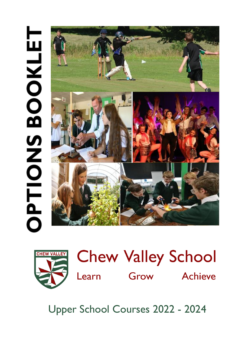# **FTIONS BOOKLET** O





Upper School Courses 2022 - 2024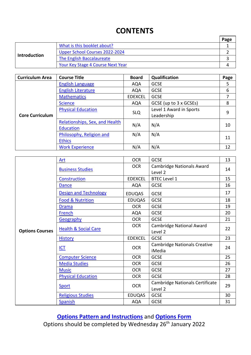# **CONTENTS**

|                                                  |                                   | Page |
|--------------------------------------------------|-----------------------------------|------|
|                                                  | What is this booklet about?       |      |
|                                                  | Upper School Courses 2022-2024    |      |
| <b>Introduction</b><br>The English Baccalaureate |                                   |      |
|                                                  | Your Key Stage 4 Course Next Year |      |

| <b>Curriculum Area</b> | <b>Course Title</b>            | <b>Board</b>   | Qualification           | Page |
|------------------------|--------------------------------|----------------|-------------------------|------|
|                        | <b>English Language</b>        | <b>AQA</b>     | <b>GCSE</b>             | 5    |
|                        | <b>English Literature</b>      | <b>AQA</b>     | <b>GCSE</b>             | 6    |
|                        | <b>Mathematics</b>             | <b>EDEXCEL</b> | <b>GCSE</b>             | 7    |
|                        | <b>Science</b>                 | <b>AQA</b>     | GCSE (up to 3 x GCSEs)  | 8    |
|                        | <b>Physical Education</b>      |                | Level 1 Award in Sports | 9    |
| <b>Core Curriculum</b> |                                | <b>SLQ</b>     | Leadership              |      |
|                        | Relationships, Sex, and Health | N/A            | N/A                     | 10   |
|                        | <b>Education</b>               |                |                         |      |
|                        | Philosophy, Religion and       | N/A            | N/A                     | 11   |
|                        | <b>Ethics</b>                  |                |                         |      |
|                        | <b>Work Experience</b>         | N/A            | N/A                     | 12   |

|                        | Art                             | <b>OCR</b>     | <b>GCSE</b>                                   | 13 |
|------------------------|---------------------------------|----------------|-----------------------------------------------|----|
|                        |                                 | <b>OCR</b>     | <b>Cambridge Nationals Award</b>              |    |
|                        | <b>Business Studies</b>         |                | Level 2                                       | 14 |
|                        | Construction                    | <b>EDEXCEL</b> | <b>BTEC Level 1</b>                           | 15 |
|                        | <b>Dance</b>                    | <b>AQA</b>     | <b>GCSE</b>                                   | 16 |
|                        | <b>Design and Technology</b>    | <b>EDUQAS</b>  | <b>GCSE</b>                                   | 17 |
|                        | <b>Food &amp; Nutrition</b>     | <b>EDUQAS</b>  | <b>GCSE</b>                                   | 18 |
|                        | <b>Drama</b>                    | <b>OCR</b>     | <b>GCSE</b>                                   | 19 |
|                        | French                          | <b>AQA</b>     | <b>GCSE</b>                                   | 20 |
|                        | Geography                       | <b>OCR</b>     | <b>GCSE</b>                                   | 21 |
|                        |                                 | <b>OCR</b>     | <b>Cambridge National Award</b>               | 22 |
| <b>Options Courses</b> | <b>Health &amp; Social Care</b> |                | Level 2                                       |    |
|                        | <b>History</b>                  | <b>EDEXCEL</b> | <b>GCSE</b>                                   | 23 |
|                        | <b>ICT</b>                      | <b>OCR</b>     | <b>Cambridge Nationals Creative</b><br>iMedia | 24 |
|                        | <b>Computer Science</b>         | <b>OCR</b>     | <b>GCSE</b>                                   | 25 |
|                        | <b>Media Studies</b>            | <b>OCR</b>     | <b>GCSE</b>                                   | 26 |
|                        | <b>Music</b>                    | <b>OCR</b>     | <b>GCSE</b>                                   | 27 |
|                        | <b>Physical Education</b>       | <b>OCR</b>     | <b>GCSE</b>                                   | 28 |
|                        | Sport                           | <b>OCR</b>     | Cambridge Nationals Certificate<br>Level 2    | 29 |
|                        | <b>Religious Studies</b>        | <b>EDUQAS</b>  | <b>GCSE</b>                                   | 30 |
|                        | <b>Spanish</b>                  | <b>AQA</b>     | <b>GCSE</b>                                   | 31 |

**[Options Pattern and Instructions](#page-33-0)** and **[Options Form](https://forms.office.com/r/Pai0scc7vi)** Options should be completed by Wednesday 26<sup>th</sup> January 2022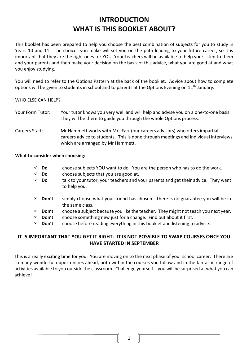# **INTRODUCTION WHAT IS THIS BOOKLET ABOUT?**

<span id="page-2-0"></span>This booklet has been prepared to help you choose the best combination of subjects for you to study in Years 10 and 11. The choices you make will set you on the path leading to your future career, so it is important that they are the right ones for YOU. Your teachers will be available to help you: listen to them and your parents and then make your decision on the basis of this advice, what you are good at and what you enjoy studying.

You will need to refer to the Options Pattern at the back of the booklet. Advice about how to complete options will be given to students in school and to parents at the Options Evening on 11<sup>th</sup> January.

### WHO FLSE CAN HELP?

- Your Form Tutor: Your tutor knows you very well and will help and advise you on a one-to-one basis. They will be there to guide you through the whole Options process.
- Careers Staff: Mr Hammett works with Mrs Farr (our careers advisors) who offers impartial careers advice to students. This is done through meetings and individual interviews which are arranged by Mr Hammett.

### **What to consider when choosing:**

- ✓ **Do** choose subjects YOU want to do. You are the person who has to do the work.
- $\checkmark$  **Do** choose subjects that you are good at.
- ✓ **Do** talk to your tutor, your teachers and your parents and get their advice. They want to help you.
- × **Don't** simply choose what your friend has chosen. There is no guarantee you will be in the same class.
- × **Don't** choose a subject because you like the teacher. They might not teach you next year.
- × **Don't** choose something new just for a change. Find out about it first.
- × **Don't** choose before reading everything in this booklet and listening to advice.

### **IT IS IMPORTANT THAT YOU GET IT RIGHT. IT IS NOT POSSIBLE TO SWAP COURSES ONCE YOU HAVE STARTED IN SEPTEMBER**

This is a really exciting time for you. You are moving on to the next phase of your school career. There are so many wonderful opportunities ahead, both within the courses you follow and in the fantastic range of activities available to you outside the classroom. Challenge yourself – you will be surprised at what you can achieve!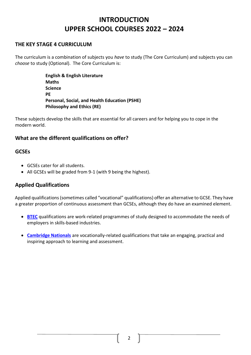# <span id="page-3-0"></span>**INTRODUCTION UPPER SCHOOL COURSES 2022 – 2024**

### **THE KEY STAGE 4 CURRICULUM**

The curriculum is a combination of subjects you *have* to study (The Core Curriculum) and subjects you can *choose* to study (Optional). The Core Curriculum is:

> **English & English Literature Maths Science PE Personal, Social, and Health Education (PSHE) Philosophy and Ethics (RE)**

These subjects develop the skills that are essential for all careers and for helping you to cope in the modern world.

### **What are the different qualifications on offer?**

### **GCSEs**

- GCSEs cater for all students.
- All GCSEs will be graded from 9-1 (with 9 being the highest).

### **Applied Qualifications**

Applied qualifications (sometimes called "vocational" qualifications) offer an alternative to GCSE. They have a greater proportion of continuous assessment than GCSEs, although they do have an examined element.

- **[BTEC](http://www.edexcel.com/BTEC/Pages/default.aspx)** qualifications are work-related programmes of study designed to accommodate the needs of employers in skills-based industries.
- **[Cambridge Nationals](http://www.cambridgenationals.org.uk/about/)** are vocationally-related qualifications that take an engaging, practical and inspiring approach to learning and assessment.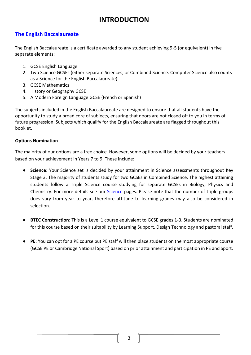# **INTRODUCTION**

### <span id="page-4-0"></span>**[The English Baccalaureate](http://www.education.gov.uk/schools/teachingandlearning/qualifications/englishbac/a0075975/the-english-baccalaureate)**

The English Baccalaureate is a certificate awarded to any student achieving 9-5 (or equivalent) in five separate elements:

- 1. GCSE English Language
- 2. Two Science GCSEs (either separate Sciences, or Combined Science. Computer Science also counts as a Science for the English Baccalaureate)
- 3. GCSE Mathematics
- 4. History or Geography GCSE
- 5. A Modern Foreign Language GCSE (French or Spanish)

The subjects included in the English Baccalaureate are designed to ensure that all students have the opportunity to study a broad core of subjects, ensuring that doors are not closed off to you in terms of future progression. Subjects which qualify for the English Baccalaureate are flagged throughout this booklet.

### **Options Nomination**

The majority of our options are a free choice. However, some options will be decided by your teachers based on your achievement in Years 7 to 9. These include:

- **Science**: Your Science set is decided by your attainment in Science assessments throughout Key Stage 3. The majority of students study for two GCSEs in Combined Science. The highest attaining students follow a Triple Science course studying for separate GCSEs in Biology, Physics and Chemistry. For more details see our [Science](#page-8-1) pages. Please note that the number of triple groups does vary from year to year, therefore attitude to learning grades may also be considered in selection.
- **BTEC Construction**: This is a Level 1 course equivalent to GCSE grades 1-3. Students are nominated for this course based on their suitability by Learning Support, Design Technology and pastoral staff.
- **PE**: You can opt for a PE course but PE staff will then place students on the most appropriate course (GCSE PE or Cambridge National Sport) based on prior attainment and participation in PE and Sport.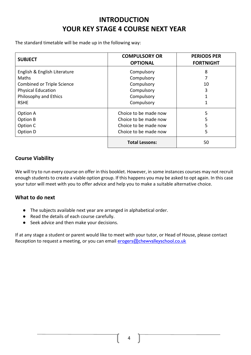# **INTRODUCTION YOUR KEY STAGE 4 COURSE NEXT YEAR**

<span id="page-5-0"></span>The standard timetable will be made up in the following way:

| <b>SUBJECT</b>                    | <b>COMPULSORY OR</b><br><b>OPTIONAL</b> | <b>PERIODS PER</b><br><b>FORTNIGHT</b> |
|-----------------------------------|-----------------------------------------|----------------------------------------|
| English & English Literature      | Compulsory                              | 8                                      |
| Maths                             | Compulsory                              |                                        |
| <b>Combined or Triple Science</b> | Compulsory                              | 10                                     |
| <b>Physical Education</b>         | Compulsory                              | 3                                      |
| Philosophy and Ethics             | Compulsory                              |                                        |
| <b>RSHE</b>                       | Compulsory                              |                                        |
| Option A                          | Choice to be made now                   | 5                                      |
| Option B                          | Choice to be made now                   | 5                                      |
| Option C                          | Choice to be made now                   | 5                                      |
| Option D                          | Choice to be made now                   | 5                                      |
|                                   | <b>Total Lessons:</b>                   | 50                                     |

### **Course Viability**

We will try to run every course on offer in this booklet. However, in some instances courses may not recruit enough students to create a viable option group. If this happens you may be asked to opt again. In this case your tutor will meet with you to offer advice and help you to make a suitable alternative choice.

### **What to do next**

- The subjects available next year are arranged in alphabetical order.
- Read the details of each course carefully.
- Seek advice and then make your decisions.

If at any stage a student or parent would like to meet with your tutor, or Head of House, please contact Reception to request a meeting, or you can email [erogers@chewvalleyschool.co.uk](mailto:erogers@chewvalleyschool.co.uk)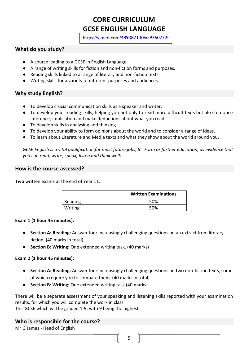# **CORE CURRICULUM GCSE ENGLISH LANGUAGE**

<https://vimeo.com/489387130/aa9360772f>

### <span id="page-6-0"></span>**What do you study?**

- A course leading to a GCSE in English Language.
- A range of writing skills for fiction and non-fiction forms and purposes.
- Reading skills linked to a range of literary and non-fiction texts.
- Writing skills for a variety of different purposes and audiences.

### **Why study English?**

- To develop crucial communication skills as a speaker and writer.
- To develop your reading skills, helping you not only to read more difficult texts but also to notice inference, implication and make deductions about what you read.
- To develop skills in analysing and thinking.
- To develop your ability to form opinions about the world and to consider a range of ideas.
- To learn about Literature and Media texts and what they show about the world around you.

*GCSE English is a vital qualification for most future jobs, 6th Form or further education, as evidence that you can read, write, speak, listen and think well!*

### **How is the course assessed?**

**Two** written exams at the end of Year 11:

|         | <b>Written Examinations</b> |
|---------|-----------------------------|
| Reading | 50%                         |
| Writing | 50%                         |

### **Exam 1 (1 hour 45 minutes):**

- **Section A: Reading:** Answer four increasingly challenging questions on an extract from literary fiction. (40 marks in total)
- **Section B: Writing:** One extended writing task. (40 marks)

### **Exam 2 (1 hour 45 minutes):**

- **Section A: Reading:** Answer four increasingly challenging questions on two non-fiction texts, some of which require you to compare them. (40 marks in total)
- **Section B: Writing:** One extended writing task (40 marks)

There will be a separate assessment of your speaking and listening skills reported with your examination results, for which you will complete the work in class.

This GCSE which will be graded 1-9, with 9 being the highest.

### **Who is responsible for the course?**

Mr G James - Head of English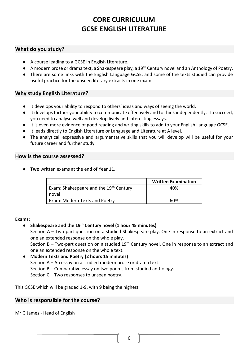# **CORE CURRICULUM GCSE ENGLISH LITERATURE**

### <span id="page-7-0"></span>**What do you study?**

- A course leading to a GCSE in English Literature.
- $\bullet$  A modern prose or drama text, a Shakespeare play, a 19<sup>th</sup> Century novel and an Anthology of Poetry.
- There are some links with the English Language GCSE, and some of the texts studied can provide useful practice for the unseen literary extracts in one exam.

### **Why study English Literature?**

- It develops your ability to respond to others' ideas and ways of seeing the world.
- It develops further your ability to communicate effectively and to think independently. To succeed, you need to analyse well and develop lively and interesting essays.
- It is even more evidence of good reading and writing skills to add to your English Language GCSE.
- It leads directly to English Literature or Language and Literature at A level.
- The analytical, expressive and argumentative skills that you will develop will be useful for your future career and further study.

### **How is the course assessed?**

**Two** written exams at the end of Year 11.

|                                                    | <b>Written Examination</b> |
|----------------------------------------------------|----------------------------|
| Exam: Shakespeare and the 19 <sup>th</sup> Century | 40%                        |
| novel                                              |                            |
| Exam: Modern Texts and Poetry                      | 60%                        |

### **Exams:**

● **Shakespeare and the 19th Century novel (1 hour 45 minutes)**

Section A – Two-part question on a studied Shakespeare play. One in response to an extract and one an extended response on the whole play.

Section B – Two-part question on a studied  $19<sup>th</sup>$  Century novel. One in response to an extract and one an extended response on the whole text.

● **Modern Texts and Poetry (2 hours 15 minutes)**

Section A – An essay on a studied modern prose or drama text.

Section B – Comparative essay on two poems from studied anthology.

Section C – Two responses to unseen poetry.

This GCSE which will be graded 1-9, with 9 being the highest.

### **Who is responsible for the course?**

Mr G James - Head of English

6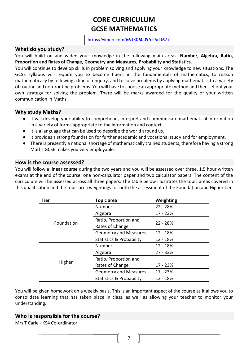# **CORE CURRICULUM GCSE MATHEMATICS**

[https://vimeo.com/663306009/ec5d3677](https://eur01.safelinks.protection.outlook.com/?url=https%3A%2F%2Fvimeo.com%2F663306009%2Fec5d3677a0&data=04%7C01%7Cknorfolk%40chewvalleyschool.co.uk%7Ced848ad336a14ad94e4708d9d1d18fbd%7Cd19699aa861749e3afdf44daf0905611%7C0%7C0%7C637771520248150271%7CUnknown%7CTWFpbGZsb3d8eyJWIjoiMC4wLjAwMDAiLCJQIjoiV2luMzIiLCJBTiI6Ik1haWwiLCJXVCI6Mn0%3D%7C3000&sdata=%2Fdoz4jNsJy1clkCroSecctfaBa2RVoWDoQlx0MPlQ%2B4%3D&reserved=0)

### <span id="page-8-0"></span>**What do you study?**

You will build on and widen your knowledge in the following main areas: **Number, Algebra, Ratio, Proportion and Rates of Change, Geometry and Measures, Probability and Statistics.**

You will continue to develop skills in problem solving and applying your knowledge to new situations. The GCSE syllabus will require you to become fluent in the fundamentals of mathematics, to reason mathematically by following a line of enquiry, and to solve problems by applying mathematics to a variety of routine and non-routine problems. You will have to choose an appropriate method and then set out your own strategy for solving the problem. There will be marks awarded for the quality of your written communication in Maths.

### **Why study Maths?**

- It will develop your ability to comprehend, interpret and communicate mathematical information in a variety of forms appropriate to the information and context.
- It is a language that can be used to describe the world around us.

[a0](https://eur01.safelinks.protection.outlook.com/?url=https%3A%2F%2Fvimeo.com%2F663306009%2Fec5d3677a0&data=04%7C01%7Cknorfolk%40chewvalleyschool.co.uk%7Ced848ad336a14ad94e4708d9d1d18fbd%7Cd19699aa861749e3afdf44daf0905611%7C0%7C0%7C637771520248150271%7CUnknown%7CTWFpbGZsb3d8eyJWIjoiMC4wLjAwMDAiLCJQIjoiV2luMzIiLCJBTiI6Ik1haWwiLCJXVCI6Mn0%3D%7C3000&sdata=%2Fdoz4jNsJy1clkCroSecctfaBa2RVoWDoQlx0MPlQ%2B4%3D&reserved=0)

- It provides a strong foundation for further academic and vocational study and for employment.
- There is presently a national shortage of mathematically trained students, therefore having a strong Maths GCSE makes you very employable.

### **How is the course assessed?**

You will follow a **linear course** during the two years and you will be assessed over three, 1.5 hour written exams at the end of the course: one non-calculator paper and two calculator papers. The content of the curriculum will be assessed across all three papers. The table below illustrates the topic areas covered in this qualification and the topic area weightings for both the assessment of the Foundation and Higher tier.

| <b>Tier</b>       | <b>Topic area</b>                   | Weighting  |
|-------------------|-------------------------------------|------------|
|                   | Number                              | $22 - 28%$ |
|                   | Algebra                             | 17 - 23%   |
| <b>Foundation</b> | Ratio, Proportion and               | $22 - 28%$ |
|                   | Rates of Change                     |            |
|                   | <b>Geometry and Measures</b>        | $12 - 18%$ |
|                   | <b>Statistics &amp; Probability</b> | $12 - 18%$ |
|                   | Number                              | 12 - 18%   |
|                   | Algebra                             | $27 - 33%$ |
| Higher            | Ratio, Proportion and               |            |
|                   | Rates of Change                     | 17 - 23%   |
|                   | <b>Geometry and Measures</b>        | $17 - 23%$ |
|                   | <b>Statistics &amp; Probability</b> | 12 - 18%   |

You will be given homework on a weekly basis. This is an important aspect of the course as it allows you to consolidate learning that has taken place in class, as well as allowing your teacher to monitor your understanding.

### **Who is responsible for the course?**

<span id="page-8-1"></span>Mrs T Carle - KS4 Co-ordinator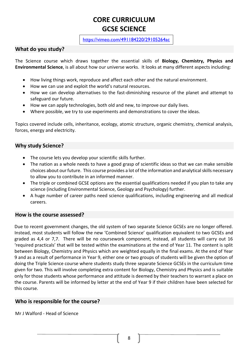# **CORE CURRICULUM GCSE SCIENCE**

<https://vimeo.com/491184220/29105264ac>

### **What do you study?**

The Science course which draws together the essential skills of **Biology, Chemistry, Physics and Environmental Science**, is all about how our universe works. It looks at many different aspects including:

- How living things work, reproduce and affect each other and the natural environment.
- How we can use and exploit the world's natural resources.
- How we can develop alternatives to the fast-diminishing resource of the planet and attempt to safeguard our future.
- How we can apply technologies, both old and new, to improve our daily lives.
- Where possible, we try to use experiments and demonstrations to cover the ideas.

Topics covered include cells, inheritance, ecology, atomic structure, organic chemistry, chemical analysis, forces, energy and electricity.

### **Why study Science?**

- The course lets you develop your scientific skills further.
- The nation as a whole needs to have a good grasp of scientific ideas so that we can make sensible choices about our future. This course provides a lot of the information and analytical skills necessary to allow you to contribute in an informed manner.
- The triple or combined GCSE options are the essential qualifications needed if you plan to take any science (including Environmental Science, Geology and Psychology) further.
- A huge number of career paths need science qualifications, including engineering and all medical careers.

### **How is the course assessed?**

Due to recent government changes, the old system of two separate Science GCSEs are no longer offered. Instead, most students will follow the new 'Combined Science' qualification equivalent to two GCSEs and graded as 4,4 or 7,7. There will be no coursework component, instead, all students will carry out 16 'required practicals' that will be tested within the examinations at the end of Year 11. The content is split between Biology, Chemistry and Physics which are weighted equally in the final exams. At the end of Year 9 and as a result of performance in Year 9, either one or two groups of students will be given the option of doing the Triple Science course where students study three separate Science GCSEs in the curriculum time given for two. This will involve completing extra content for Biology, Chemistry and Physics and is suitable only for those students whose performance and attitude is deemed by their teachers to warrant a place on the course. Parents will be informed by letter at the end of Year 9 if their children have been selected for this course.

### **Who is responsible for the course?**

Mr J Walford - Head of Science

8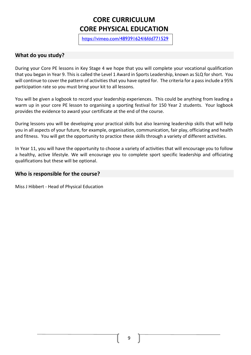# **CORE CURRICULUM CORE PHYSICAL EDUCATION**

<https://vimeo.com/489391624/6fdd771529>

### <span id="page-10-0"></span>**What do you study?**

During your Core PE lessons in Key Stage 4 we hope that you will complete your vocational qualification that you began in Year 9. This is called the Level 1 Award in Sports Leadership, known as SLQ for short. You will continue to cover the pattern of activities that you have opted for. The criteria for a pass include a 95% participation rate so you must bring your kit to all lessons.

You will be given a logbook to record your leadership experiences. This could be anything from leading a warm up in your core PE lesson to organising a sporting festival for 150 Year 2 students. Your logbook provides the evidence to award your certificate at the end of the course.

During lessons you will be developing your practical skills but also learning leadership skills that will help you in all aspects of your future, for example, organisation, communication, fair play, officiating and health and fitness. You will get the opportunity to practice these skills through a variety of different activities.

In Year 11, you will have the opportunity to choose a variety of activities that will encourage you to follow a healthy, active lifestyle. We will encourage you to complete sport specific leadership and officiating qualifications but these will be optional.

### **Who is responsible for the course?**

Miss J Hibbert - Head of Physical Education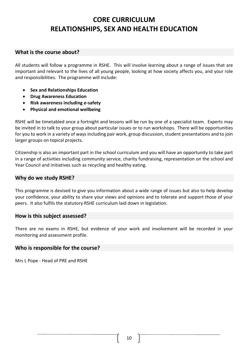# **CORE CURRICULUM RELATIONSHIPS, SEX AND HEALTH EDUCATION**

### <span id="page-11-0"></span>**What is the course about?**

All students will follow a programme in RSHE. This will involve learning about a range of issues that are important and relevant to the lives of all young people, looking at how society affects you, and your role and responsibilities. The programme will include:

- **Sex and Relationships Education**
- **Drug Awareness Education**
- **Risk awareness including e-safety**
- **Physical and emotional wellbeing**

RSHE will be timetabled once a fortnight and lessons will be run by one of a specialist team. Experts may be invited in to talk to your group about particular issues or to run workshops. There will be opportunities for you to work in a variety of ways including pair work, group discussion, student presentations and to join larger groups on topical projects.

Citizenship is also an important part in the school curriculum and you will have an opportunity to take part in a range of activities including community service, charity fundraising, representation on the school and Year Council and initiatives such as recycling and healthy eating.

### **Why do we study RSHE?**

This programme is devised to give you information about a wide range of issues but also to help develop your confidence, your ability to share your views and opinions and to tolerate and support those of your peers. It also fulfils the statutory RSHE curriculum laid down in legislation.

### **How is this subject assessed?**

There are no exams in RSHE, but evidence of your work and involvement will be recorded in your monitoring and assessment profile.

### **Who is responsible for the course?**

Mrs L Pope - Head of PRE and RSHE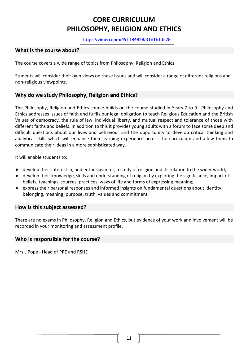# **CORE CURRICULUM PHILOSOPHY, RELIGION AND ETHICS**

<https://vimeo.com/491184828/31d1b13a28>

### <span id="page-12-0"></span>**What is the course about?**

The course covers a wide range of topics from Philosophy, Religion and Ethics.

Students will consider their own views on these issues and will consider a range of different religious and non-religious viewpoints.

### **Why do we study Philosophy, Religion and Ethics?**

The Philosophy, Religion and Ethics course builds on the course studied in Years 7 to 9. Philosophy and Ethics addresses issues of faith and fulfils our legal obligation to teach Religious Education and the British Values of democracy, the rule of law, individual liberty, and mutual respect and tolerance of those with different faiths and beliefs. In addition to this it provides young adults with a forum to face some deep and difficult questions about our lives and behaviour and the opportunity to develop critical thinking and analytical skills which will enhance their learning experience across the curriculum and allow them to communicate their ideas in a more sophisticated way.

It will enable students to:

- develop their interest in, and enthusiasm for, a study of religion and its relation to the wider world;
- develop their knowledge, skills and understanding of religion by exploring the significance, impact of beliefs, teachings, sources, practices, ways of life and forms of expressing meaning;
- express their personal responses and informed insights on fundamental questions about identity, belonging, meaning, purpose, truth, values and commitment.

### **How is this subject assessed?**

There are no exams in Philosophy, Religion and Ethics, but evidence of your work and involvement will be recorded in your monitoring and assessment profile.

### **Who is responsible for the course?**

Mrs L Pope - Head of PRE and RSHE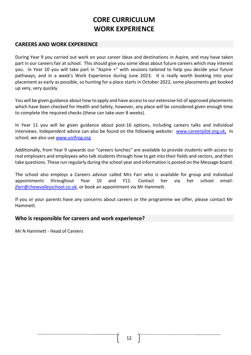# **CORE CURRICULUM WORK EXPERIENCE**

### <span id="page-13-0"></span>**CAREERS AND WORK EXPERIENCE**

During Year 9 you carried out work on your career ideas and destinations in Aspire, and may have taken part in our careers fair at school. This should give you some ideas about future careers which may interest you. In Year 10 you will take part in "Aspire +" with sessions tailored to help you decide your future pathways, and in a week's Work Experience during June 2023. It is really worth booking into your placement as early as possible, so hunting for a place starts in October 2022, some placements get booked up very, very quickly.

You will be given guidance about how to apply and have access to our extensive list of approved placements which have been checked for Health and Safety, however, any place will be considered given enough time to complete the required checks (these can take over 8 weeks).

In Year 11 you will be given guidance about post-16 options, including careers talks and individual interviews. Independent advice can also be found on the following website: www.careerpilot.org.uk, In school, we also use www.unifrog.org

Additionally, from Year 9 upwards our "careers lunches" are available to provide students with access to real employers and employees who talk students through how to get into their fields and sectors, and then take questions. These run regularly during the school year and information is posted on the Message board.

The school also employs a Careers advisor called Mrs Farr who is available for group and individual appointments throughout Year 10 and Y11. Contact her via her school email: [jfarr@chewvalleyschool.co.uk,](mailto:jfarr@chewvalleyschool.co.uk) or book an appointment via Mr Hammett.

If you or your parents have any concerns about careers or the programme we offer, please contact Mr Hammett.

### **Who is responsible for careers and work experience?**

Mr N Hammett - Head of Careers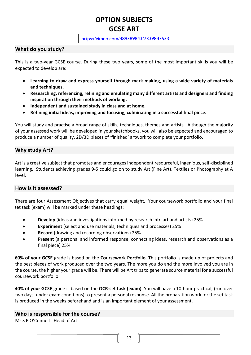# **OPTION SUBJECTS GCSE ART**

### <https://vimeo.com/489389843/73398d7533>

### <span id="page-14-0"></span>**What do you study?**

This is a two-year GCSE course. During these two years, some of the most important skills you will be expected to develop are:

- **Learning to draw and express yourself through mark making, using a wide variety of materials and techniques.**
- **Researching, referencing, refining and emulating many different artists and designers and finding inspiration through their methods of working.**
- **Independent and sustained study in class and at home.**
- **Refining initial ideas, improving and focusing, culminating in a successful final piece.**

You will study and practise a broad range of skills, techniques, themes and artists. Although the majority of your assessed work will be developed in your sketchbooks, you will also be expected and encouraged to produce a number of quality, 2D/3D pieces of 'finished' artwork to complete your portfolio.

### **Why study Art?**

Art is a creative subject that promotes and encourages independent resourceful, ingenious, self-disciplined learning. Students achieving grades 9-5 could go on to study Art (Fine Art), Textiles or Photography at A level.

### **How is it assessed?**

There are four Assessment Objectives that carry equal weight. Your coursework portfolio and your final set task (exam) will be marked under these headings:

- **Develop** (ideas and investigations informed by research into art and artists) 25%
- **Experiment** (select and use materials, techniques and processes) 25%
- **Record** (drawing and recording observations) 25%
- **Present** (a personal and informed response, connecting ideas, research and observations as a final piece) 25%

**60% of your GCSE** grade is based on the **Coursework Portfolio**. This portfolio is made up of projects and the best pieces of work produced over the two years. The more you do and the more involved you are in the course, the higher your grade will be. There will be Art trips to generate source material for a successful coursework portfolio.

**40% of your GCSE** grade is based on the **OCR-set task (exam)**. You will have a 10-hour practical, (run over two days, under exam conditions) to present a personal response. All the preparation work for the set task is produced in the weeks beforehand and is an important element of your assessment.

### **Who is responsible for the course?**

<span id="page-14-1"></span>Mr S P O'Connell - Head of Art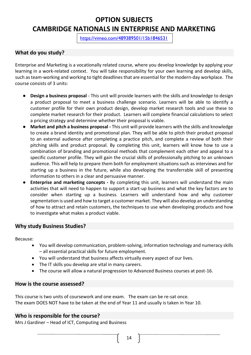# **OPTION SUBJECTS CAMBRIDGE NATIONALS IN ENTERPRISE AND MARKETING**

<https://vimeo.com/489389501/15b1846531>

### **What do you study?**

Enterprise and Marketing is a vocationally related course, where you develop knowledge by applying your learning in a work-related context. You will take responsibility for your own learning and develop skills, such as team-working and working to tight deadlines that are essential for the modern-day workplace. The course consists of 3 units:

- **Design a business proposal** This unit will provide learners with the skills and knowledge to design a product proposal to meet a business challenge scenario. Learners will be able to identify a customer profile for their own product design, develop market research tools and use these to complete market research for their product. Learners will complete financial calculations to select a pricing strategy and determine whether their proposal is viable.
- **Market and pitch a business proposal -** This unit will provide learners with the skills and knowledge to create a brand identity and promotional plan. They will be able to pitch their product proposal to an external audience after completing a practice pitch, and complete a review of both their pitching skills and product proposal. By completing this unit, learners will know how to use a combination of branding and promotional methods that complement each other and appeal to a specific customer profile. They will gain the crucial skills of professionally pitching to an unknown audience. This will help to prepare them both for employment situations such as interviews and for starting up a business in the future, while also developing the transferrable skill of presenting information to others in a clear and persuasive manner.
- **Enterprise and marketing concepts -** By completing this unit, learners will understand the main activities that will need to happen to support a start-up business and what the key factors are to consider when starting up a business. Learners will understand how and why customer segmentation is used and how to target a customer market. They will also develop an understanding of how to attract and retain customers, the techniques to use when developing products and how to investigate what makes a product viable.

### **Why study Business Studies?**

Because:

- You will develop communication, problem-solving, information technology and numeracy skills – all essential practical skills for future employment.
- You will understand that business affects virtually every aspect of our lives.
- The IT skills you develop are vital in many careers.
- The course will allow a natural progression to Advanced Business courses at post-16.

### **How is the course assessed?**

This course is two units of coursework and one exam. The exam can be re-sat once. The exam DOES NOT have to be taken at the end of Year 11 and usually is taken in Year 10.

### **Who is responsible for the course?**

Mrs J Gardiner – Head of ICT, Computing and Business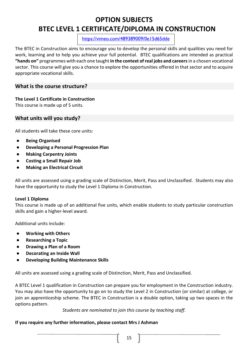# **OPTION SUBJECTS BTEC LEVEL 1 CERTIFICATE/DIPLOMA IN CONSTRUCTION**

<https://vimeo.com/489389009/0e15d65dde>

<span id="page-16-0"></span>The BTEC in Construction aims to encourage you to develop the personal skills and qualities you need for work, learning and to help you achieve your full potential. BTEC qualifications are intended as practical **"hands on"** programmes with each one taught **in the context of real jobs and careers**in a chosen vocational sector. This course will give you a chance to explore the opportunities offered in that sector and to acquire appropriate vocational skills.

### **What is the course structure?**

### **The Level 1 Certificate in Construction**

This course is made up of 5 units.

**What units will you study?**

All students will take these core units:

- **Being Organised**
- **Developing a Personal Progression Plan**
- **Making Carpentry Joints**
- **Costing a Small Repair Job**
- **Making an Electrical Circuit**

All units are assessed using a grading scale of Distinction, Merit, Pass and Unclassified. Students may also have the opportunity to study the Level 1 Diploma in Construction.

### **Level 1 Diploma**

This course is made up of an additional five units, which enable students to study particular construction skills and gain a higher-level award.

Additional units include:

- **Working with Others**
- **Researching a Topic**
- **Drawing a Plan of a Room**
- **Decorating an Inside Wall**
- **Developing Building Maintenance Skills**

All units are assessed using a grading scale of Distinction, Merit, Pass and Unclassified.

A BTEC Level 1 qualification in Construction can prepare you for employment in the Construction industry. You may also have the opportunity to go on to study the Level 2 in Construction (or similar) at college, or join an apprenticeship scheme. The BTEC in Construction is a double option, taking up two spaces in the options pattern.

*Students are nominated to join this course by teaching staff.*

### **If you require any further information, please contact Mrs J Ashman**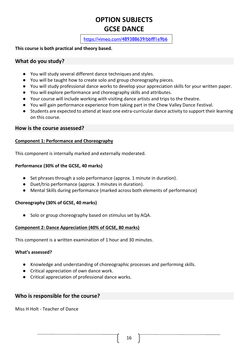# <span id="page-17-0"></span>**OPTION SUBJECTS GCSE DANCE**

<https://vimeo.com/489388639/bbfff1e9b6>

### **This course is both practical and theory based.**

### **What do you study?**

- You will study several different dance techniques and styles.
- You will be taught how to create solo and group choreography pieces.
- You will study professional dance works to develop your appreciation skills for your written paper.
- You will explore performance and choreography skills and attributes.
- Your course will include working with visiting dance artists and trips to the theatre.
- You will gain performance experience from taking part in the Chew Valley Dance Festival.
- Students are expected to attend at least one extra-curricular dance activity to support their learning on this course.

### **How is the course assessed?**

### **Component 1: Performance and Choreography**

This component is internally marked and externally moderated.

### **Performance (30% of the GCSE, 40 marks)**

- Set phrases through a solo performance (approx. 1 minute in duration).
- Duet/trio performance (approx. 3 minutes in duration).
- Mental Skills during performance (marked across both elements of performance)

### **Choreography (30% of GCSE, 40 marks)**

● Solo or group choreography based on stimulus set by AQA.

### **Component 2: Dance Appreciation (40% of GCSE, 80 marks)**

This component is a written examination of 1 hour and 30 minutes.

### **What's assessed?**

- Knowledge and understanding of choreographic processes and performing skills.
- Critical appreciation of own dance work.
- Critical appreciation of professional dance works.

### **Who is responsible for the course?**

<span id="page-17-1"></span>Miss H Holt - Teacher of Dance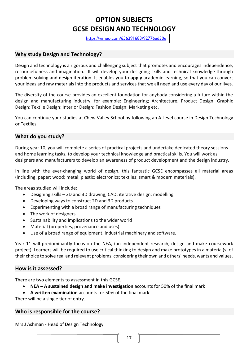# **OPTION SUBJECTS GCSE DESIGN AND TECHNOLOGY**

[https://vimeo.com/656291683/92776ed30e](https://eur01.safelinks.protection.outlook.com/?url=https%3A%2F%2Fvimeo.com%2F656291683%2F92776ed30e&data=04%7C01%7Cjashman%40chewvalleyschool.co.uk%7C1cb13413889c491c4d0b08d9be75f848%7Cd19699aa861749e3afdf44daf0905611%7C0%7C0%7C637750236140365822%7CUnknown%7CTWFpbGZsb3d8eyJWIjoiMC4wLjAwMDAiLCJQIjoiV2luMzIiLCJBTiI6Ik1haWwiLCJXVCI6Mn0%3D%7C3000&sdata=kD9t4n6dOh4Be9Du1hyRvDcXZZrTySIOf0HwQPeQ7j0%3D&reserved=0)

### **Why study Design and Technology?**

Design and technology is a rigorous and challenging subject that promotes and encourages independence, resourcefulness and imagination. It will develop your designing skills and technical knowledge through problem solving and design iteration. It enables you to **apply** academic learning, so that you can convert your ideas and raw materials into the products and services that we all need and use every day of our lives.

The diversity of the course provides an excellent foundation for anybody considering a future within the design and manufacturing industry, for example: Engineering; Architecture; Product Design; Graphic Design; Textile Design; Interior Design; Fashion Design; Marketing etc.

You can continue your studies at Chew Valley School by following an A Level course in Design Technology or Textiles.

### **What do you study?**

During year 10, you will complete a series of practical projects and undertake dedicated theory sessions and home learning tasks, to develop your technical knowledge and practical skills. You will work as designers and manufacturers to develop an awareness of product development and the design industry.

In line with the ever-changing world of design, this fantastic GCSE encompasses all material areas (including: paper; wood; metal; plastic; electronics; textiles; smart & modern materials).

The areas studied will include:

- Designing skills 2D and 3D drawing; CAD; iterative design; modelling
- Developing ways to construct 2D and 3D products
- Experimenting with a broad range of manufacturing techniques
- The work of designers
- Sustainability and implications to the wider world
- Material (properties, provenance and uses)
- Use of a broad range of equipment, industrial machinery and software.

Year 11 will predominantly focus on the NEA, (an independent research, design and make coursework project). Learners will be required to use critical thinking to design and make prototypes in a material(s) of their choice to solve real and relevant problems, considering their own and others' needs, wants and values.

### **How is it assessed?**

There are two elements to assessment in this GCSE.

- **NEA – A sustained design and make investigation** accounts for 50% of the final mark
- **A written examination** accounts for 50% of the final mark

There will be a single tier of entry.

### **Who is responsible for the course?**

Mrs J Ashman - Head of Design Technology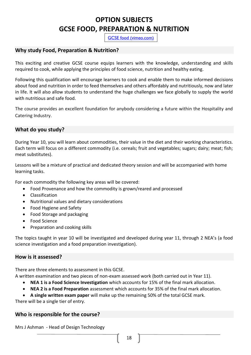# **OPTION SUBJECTS GCSE FOOD, PREPARATION & NUTRITION**

[GCSE food \(vimeo.com\)](https://vimeo.com/489385640/47635aafb7)

### <span id="page-19-0"></span>**Why study Food, Preparation & Nutrition?**

This exciting and creative GCSE course equips learners with the knowledge, understanding and skills required to cook, while applying the principles of food science, nutrition and healthy eating.

Following this qualification will encourage learners to cook and enable them to make informed decisions about food and nutrition in order to feed themselves and others affordably and nutritiously, now and later in life. It will also allow students to understand the huge challenges we face globally to supply the world with nutritious and safe food.

The course provides an excellent foundation for anybody considering a future within the Hospitality and Catering Industry.

### **What do you study?**

During Year 10, you will learn about commodities, their value in the diet and their working characteristics. Each term will focus on a different commodity (i.e. cereals; fruit and vegetables; sugars; dairy; meat; fish; meat substitutes).

Lessons will be a mixture of practical and dedicated theory session and will be accompanied with home learning tasks.

For each commodity the following key areas will be covered:

- Food Provenance and how the commodity is grown/reared and processed
- Classification
- Nutritional values and dietary considerations
- Food Hygiene and Safety
- Food Storage and packaging
- Food Science
- Preparation and cooking skills

The topics taught in year 10 will be investigated and developed during year 11, through 2 NEA's (a food science investigation and a food preparation investigation).

### **How is it assessed?**

There are three elements to assessment in this GCSE.

A written examination and two pieces of non-exam assessed work (both carried out in Year 11).

- **NEA 1 is a Food Science Investigation** which accounts for 15% of the final mark allocation.
- **NEA 2 is a Food Preparation** assessment which accounts for 35% of the final mark allocation.
- **A single written exam paper** will make up the remaining 50% of the total GCSE mark.

There will be a single tier of entry.

### **Who is responsible for the course?**

Mrs J Ashman - Head of Design Technology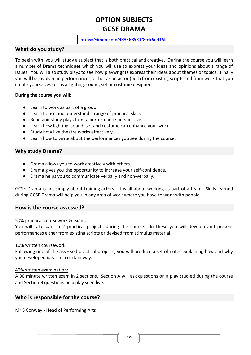# **OPTION SUBJECTS GCSE DRAMA**

### <https://vimeo.com/489388531/8fc56d415f>

### <span id="page-20-0"></span>**What do you study?**

To begin with, you will study a subject that is both practical and creative. During the course you will learn a number of Drama techniques which you will use to express your ideas and opinions about a range of issues. You will also study plays to see how playwrights express their ideas about themes or topics**.** Finally you will be involved in performances, either as an actor (both from existing scripts and from work that you create yourselves) or as a lighting, sound, set or costume designer.

### **During the course you will:**

- Learn to work as part of a group.
- Learn to use and understand a range of practical skills.
- Read and study plays from a performance perspective.
- Learn how lighting, sound, set and costume can enhance your work.
- Study how live theatre works effectively.
- Learn how to write about the performances you see during the course.

### **Why study Drama?**

- Drama allows you to work creatively with others.
- Drama gives you the opportunity to increase your self-confidence.
- Drama helps you to communicate verbally and non-verbally.

GCSE Drama is not simply about training actors. It is all about working as part of a team. Skills learned during GCSE Drama will help you in any area of work where you have to work with people.

### **How is the course assessed?**

### 50% practical coursework & exam:

You will take part in 2 practical projects during the course. In these you will develop and present performances either from existing scripts or devised from stimulus material.

### 10% written coursework:

Following one of the assessed practical projects, you will produce a set of notes explaining how and why you developed ideas in a certain way.

### 40% written examination:

A 90 minute written exam in 2 sections. Section A will ask questions on a play studied during the course and Section B questions on a play seen live.

### **Who is responsible for the course?**

Mr S Conway - Head of Performing Arts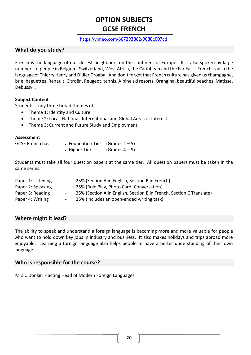# **OPTION SUBJECTS GCSE FRENCH**

### <https://vimeo.com/667293862/9088c007cd>

### <span id="page-21-0"></span>**What do you study?**

French is the language of our closest neighbours on the continent of Europe. It is also spoken by large numbers of people in Belgium, Switzerland, West Africa, the Caribbean and the Far East. French is also the language of Thierry Henry and Didier Drogba. And don't forget that French culture has given us champagne, brie, baguettes, Renault, Citroën, Peugeot, tennis, Alpine ski resorts, Orangina, beautiful beaches, Matisse, Debussy…

### **Subject Content**

Students study three broad themes of:

- Theme 1: Identity and Culture
- Theme 2: Local, National, International and Global Areas of Interest
- Theme 3: Current and Future Study and Employment

### **Assessment**

| <b>GCSE French has:</b> | a Foundation Tier (Grades $1 - 5$ ) |                 |
|-------------------------|-------------------------------------|-----------------|
|                         | a Higher Tier                       | (Grades $4-9$ ) |

Students must take all four question papers at the same tier. All question papers must be taken in the same series.

| Paper 1: Listening | <b>Contract Contract</b>      | 25% (Section A in English, Section B in French)                      |
|--------------------|-------------------------------|----------------------------------------------------------------------|
| Paper 2: Speaking  | $\sim 100$ km s $^{-1}$       | 25% (Role Play, Photo Card, Conversation)                            |
| Paper 3: Reading   | $\sim 100$ km s $^{-1}$       | 25% (Section A in English, Section B in French, Section C Translate) |
| Paper 4: Writing   | $\mathbf{m}$ and $\mathbf{m}$ | 25% (Includes an open-ended writing task)                            |

### **Where might it lead?**

The ability to speak and understand a foreign language is becoming more and more valuable for people who want to hold down key jobs in industry and business. It also makes holidays and trips abroad more enjoyable. Learning a foreign language also helps people to have a better understanding of their own language.

### **Who is responsible for the course?**

Mrs C Donkin - acting Head of Modern Foreign Languages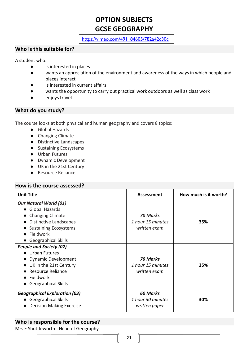# **OPTION SUBJECTS GCSE GEOGRAPHY**

<https://vimeo.com/491184605/782a42c30c>

### <span id="page-22-0"></span>**Who is this suitable for?**

A student who:

- is interested in places
- wants an appreciation of the environment and awareness of the ways in which people and places interact
- is interested in current affairs
- wants the opportunity to carry out practical work outdoors as well as class work
- enjoys travel

### **What do you study?**

The course looks at both physical and human geography and covers 8 topics:

- Global Hazards
- Changing Climate
- Distinctive Landscapes
- Sustaining Ecosystems
- Urban Futures
- Dynamic Development
- UK in the 21st Century
- Resource Reliance

### **How is the course assessed?**

| <b>Unit Title</b>                    | Assessment        | How much is it worth? |
|--------------------------------------|-------------------|-----------------------|
| <b>Our Natural World (01)</b>        |                   |                       |
| • Global Hazards                     |                   |                       |
| <b>Changing Climate</b><br>$\bullet$ | <b>70 Marks</b>   |                       |
| <b>Distinctive Landscapes</b>        | 1 hour 15 minutes | 35%                   |
| <b>Sustaining Ecosystems</b>         | written exam      |                       |
| Fieldwork                            |                   |                       |
| • Geographical Skills                |                   |                       |
| <b>People and Society (02)</b>       |                   |                       |
| • Urban Futures                      |                   |                       |
| <b>Dynamic Development</b>           | 70 Marks          |                       |
| • UK in the 21st Century             | 1 hour 15 minutes | 35%                   |
| Resource Reliance                    | written exam      |                       |
| Fieldwork<br>$\bullet$               |                   |                       |
| <b>Geographical Skills</b>           |                   |                       |
| <b>Geographical Exploration (03)</b> | <b>60 Marks</b>   |                       |
| • Geographical Skills                | 1 hour 30 minutes | 30%                   |
| <b>Decision Making Exercise</b>      | written paper     |                       |

### **Who is responsible for the course?**

Mrs E Shuttleworth - Head of Geography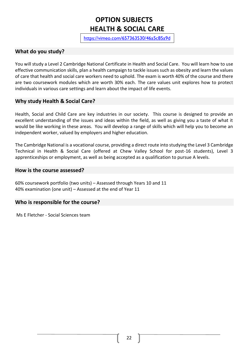# **OPTION SUBJECTS HEALTH & SOCIAL CARE**

[https://vimeo.com/657363530/46a5c85a9d](https://eur01.safelinks.protection.outlook.com/?url=https%3A%2F%2Fvimeo.com%2F657363530%2F46a5c85a9d&data=04%7C01%7Cknorfolk%40chewvalleyschool.co.uk%7C0f2425f077594df7acbd08d9d12ed42f%7Cd19699aa861749e3afdf44daf0905611%7C0%7C0%7C637770821314556927%7CUnknown%7CTWFpbGZsb3d8eyJWIjoiMC4wLjAwMDAiLCJQIjoiV2luMzIiLCJBTiI6Ik1haWwiLCJXVCI6Mn0%3D%7C3000&sdata=KSp2l2Yhi7Ck5pQS5eUPicawbOmXQ%2B%2FbuKPgdKugcho%3D&reserved=0)

### <span id="page-23-0"></span>**What do you study?**

You will study a Level 2 Cambridge National Certificate in Health and Social Care. You will learn how to use effective communication skills, plan a health campaign to tackle issues such as obesity and learn the values of care that health and social care workers need to uphold. The exam is worth 40% of the course and there are two coursework modules which are worth 30% each. The care values unit explores how to protect individuals in various care settings and learn about the impact of life events.

### **Why study Health & Social Care?**

Health, Social and Child Care are key industries in our society. This course is designed to provide an excellent understanding of the issues and ideas within the field, as well as giving you a taste of what it would be like working in these areas. You will develop a range of skills which will help you to become an independent worker, valued by employers and higher education.

The Cambridge National is a vocational course, providing a direct route into studying the Level 3 Cambridge Technical in Health & Social Care (offered at Chew Valley School for post-16 students), Level 3 apprenticeships or employment, as well as being accepted as a qualification to pursue A levels.

### **How is the course assessed?**

60% coursework portfolio (two units) – Assessed through Years 10 and 11 40% examination (one unit) – Assessed at the end of Year 11

### **Who is responsible for the course?**

Ms E Fletcher - Social Sciences team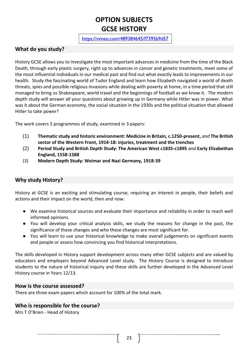# **OPTION SUBJECTS GCSE HISTORY**

### <https://vimeo.com/489384645/f7395b9d57>

### <span id="page-24-0"></span>**What do you study?**

History GCSE allows you to investigate the most important advances in medicine from the time of the Black Death, through early plastic surgery, right up to advances in cancer and genetic treatments, meet some of the most influential individuals in our medical past and find out what exactly leads to improvements in our health. Study the fascinating world of Tudor England and learn how Elizabeth navigated a world of death threats, spies and possible religious invasions while dealing with poverty at home, in a time period that still managed to bring us Shakespeare, world travel and the beginnings of football as we know it. The modern depth study will answer all your questions about growing up in Germany while Hitler was in power. What was it about the German economy, the social situation in the 1930s and the political situation that allowed Hitler to take power?

The work covers 5 programmes of study, examined in 3 papers:

- (1) **Thematic study and historic environment: Medicine in Britain, c.1250-present,** *and* **The British sector of the Western Front, 1914-18: injuries, treatment and the trenches**
- (2) **Period Study and British Depth Study: The American West c1835-c1895** *and* **Early Elizabethan England, 1558-1588**
- (3) **Modern Depth Study: Weimar and Nazi Germany, 1918-39**

### **Why study History?**

History at GCSE is an exciting and stimulating course, requiring an interest in people, their beliefs and actions and their impact on the world, then and now.

- We examine historical sources and evaluate their importance and reliability in order to reach well informed opinions.
- You will develop your critical analysis skills, we study the reasons for change in the past, the significance of these changes and who these changes are most significant for.
- You will learn to use your historical knowledge to make overall judgements on significant events and people or assess how convincing you find historical interpretations.

The skills developed in History support development across many other GCSE subjects and are valued by educators and employers beyond Advanced Level study. The History Course is designed to introduce students to the nature of historical inquiry and these skills are further developed in the Advanced Level History course in Years 12/13.

### **How is the course assessed?**

There are three exam papers which account for 100% of the total mark.

### **Who is responsible for the course?**

Mrs T O'Brien - Head of History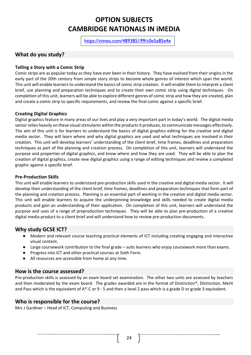# **OPTION SUBJECTS CAMBRIDGE NATIONALS IN iMEDIA**

<https://vimeo.com/489385199/c0e5a85e4e>

### <span id="page-25-0"></span>**What do you study?**

### **Telling a Story with a Comic Strip**

Comic strips are as popular today as they have ever been in their history. They have evolved from their origins in the early part of the 20th century from simple story strips to become whole genres of interest which span the world. This unit will enable learners to understand the basics of comic strip creation. It will enable them to interpret a client brief, use planning and preparation techniques and to create their own comic strip using digital techniques. On completion of this unit, learners will be able to explore different genres of comic strip and how they are created, plan and create a comic strip to specific requirements, and review the final comic against a specific brief.

### **Creating Digital Graphics**

Digital graphics feature in many areas of our lives and play a very important part in today's world. The digital media sector relies heavily on these visual stimulants within the products it produces, to communicate messages effectively. The aim of this unit is for learners to understand the basics of digital graphics editing for the creative and digital media sector. They will learn where and why digital graphics are used and what techniques are involved in their creation. This unit will develop learners' understanding of the client brief, time frames, deadlines and preparation techniques as part of the planning and creation process. On completion of this unit, learners will understand the purpose and properties of digital graphics, and know where and how they are used. They will be able to plan the creation of digital graphics, create new digital graphics using a range of editing techniques and review a completed graphic against a specific brief.

### **Pre-Production Skills**

This unit will enable learners to understand pre-production skills used in the creative and digital media sector. It will develop their understanding of the client brief, time frames, deadlines and preparation techniques that form part of the planning and creation process. Planning is an essential part of working in the creative and digital media sector. This unit will enable learners to acquire the underpinning knowledge and skills needed to create digital media products and gain an understanding of their application. On completion of this unit, learners will understand the purpose and uses of a range of preproduction techniques. They will be able to plan pre-production of a creative digital media product to a client brief and will understand how to review pre-production documents.

### **Why study GCSE ICT?**

- Modern and relevant course teaching practical elements of ICT including creating engaging and interactive visual content.
- Large coursework contribution to the final grade suits learners who enjoy coursework more than exams.
- Progress into ICT and other practical courses at Sixth Form.
- All resources are accessible from home at any time.

### **How is the course assessed?**

Pre-production skills is assessed by an exam board set examination. The other two units are assessed by teachers and then moderated by the exam board. The grades awarded are in the format of Distinction\*, Distinction, Merit and Pass which is the equivalent of A\*-C or 9 - 5 and then a level 2 pass which is a grade D or grade 3 equivalent.

### **Who is responsible for the course?**

Mrs J Gardiner – Head of ICT, Computing and Business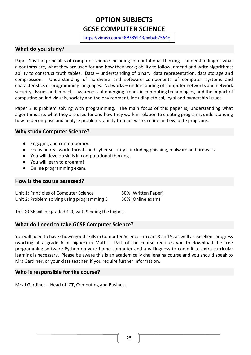# **OPTION SUBJECTS GCSE COMPUTER SCIENCE**

<https://vimeo.com/489389143/babab7564c>

### <span id="page-26-0"></span>**What do you study?**

Paper 1 is the principles of computer science including computational thinking – understanding of what algorithms are, what they are used for and how they work; ability to follow, amend and write algorithms; ability to construct truth tables. Data – understanding of binary, data representation, data storage and compression. Understanding of hardware and software components of computer systems and characteristics of programming languages. Networks – understanding of computer networks and network security. Issues and impact – awareness of emerging trends in computing technologies, and the impact of computing on individuals, society and the environment, including ethical, legal and ownership issues.

Paper 2 is problem solving with programming. The main focus of this paper is; understanding what algorithms are, what they are used for and how they work in relation to creating programs, understanding how to decompose and analyse problems, ability to read, write, refine and evaluate programs.

### **Why study Computer Science?**

- Engaging and contemporary.
- Focus on real world threats and cyber security including phishing, malware and firewalls.
- You will develop skills in computational thinking.
- You will learn to program!
- Online programming exam.

### **How is the course assessed?**

Unit 1: Principles of Computer Science 50% (Written Paper) Unit 2: Problem solving using programming 5 50% (Online exam)

This GCSE will be graded 1-9, with 9 being the highest.

### **What do I need to take GCSE Computer Science?**

You will need to have shown good skills in Computer Science in Years 8 and 9, as well as excellent progress (working at a grade 6 or higher) in Maths. Part of the course requires you to download the free programming software Python on your home computer and a willingness to commit to extra-curricular learning is necessary. Please be aware this is an academically challenging course and you should speak to Mrs Gardiner, or your class teacher, if you require further information.

### **Who is responsible for the course?**

Mrs J Gardiner – Head of ICT, Computing and Business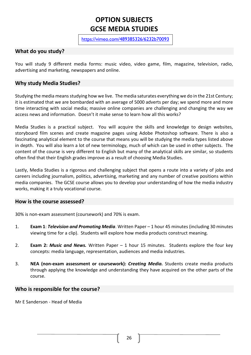# <span id="page-27-0"></span>**OPTION SUBJECTS GCSE MEDIA STUDIES**

<https://vimeo.com/489385326/6232b70093>

### **What do you study?**

You will study 9 different media forms: music video, video game, film, magazine, television, radio, advertising and marketing, newspapers and online.

### **Why study Media Studies?**

Studying the media means studying how we live. The media saturates everything we do in the 21st Century; it is estimated that we are bombarded with an average of 5000 adverts per day; we spend more and more time interacting with social media; massive online companies are challenging and changing the way we access news and information. Doesn't it make sense to learn how all this works?

Media Studies is a practical subject. You will acquire the skills and knowledge to design websites, storyboard film scenes and create magazine pages using Adobe Photoshop software. There is also a fascinating analytical element to the course that means you will be studying the media types listed above in depth. You will also learn a lot of new terminology, much of which can be used in other subjects. The content of the course is very different to English but many of the analytical skills are similar, so students often find that their English grades improve as a result of choosing Media Studies.

Lastly, Media Studies is a rigorous and challenging subject that opens a route into a variety of jobs and careers including journalism, politics, advertising, marketing and any number of creative positions within media companies. The GCSE course allows you to develop your understanding of how the media industry works, making it a truly vocational course.

### **How is the course assessed?**

30% is non-exam assessment (coursework) and 70% is exam.

- 1. **Exam 1**: *Television and Promoting Media*. Written Paper 1 hour 45 minutes (including 30 minutes viewing time for a clip). Students will explore how media products construct meaning.
- 2. **Exam 2:** *Music and News.* Written Paper 1 hour 15 minutes. Students explore the four key concepts: media language, representation, audiences and media industries.
- 3. **NEA (non-exam assessment or coursework):** *Creating Media.* Students create media products through applying the knowledge and understanding they have acquired on the other parts of the course.

### **Who is responsible for the course?**

Mr E Sanderson - Head of Media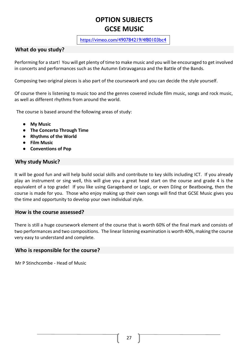# <span id="page-28-0"></span>**OPTION SUBJECTS GCSE MUSIC**

<https://vimeo.com/490784219/4f80103bc4>

### **What do you study?**

Performing for a start! You will get plenty of time to make music and you will be encouraged to get involved in concerts and performances such as the Autumn Extravaganza and the Battle of the Bands.

Composing two original pieces is also part of the coursework and you can decide the style yourself.

Of course there is listening to music too and the genres covered include film music, songs and rock music, as well as different rhythms from around the world.

The course is based around the following areas of study:

- **My Music**
- **The Concerto Through Time**
- **Rhythms of the World**
- **Film Music**
- **Conventions of Pop**

### **Why study Music?**

It will be good fun and will help build social skills and contribute to key skills including ICT. If you already play an instrument or sing well, this will give you a great head start on the course and grade 4 is the equivalent of a top grade! If you like using Garageband or Logic, or even DJing or Beatboxing, then the course is made for you. Those who enjoy making up their own songs will find that GCSE Music gives you the time and opportunity to develop your own individual style.

### **How is the course assessed?**

There is still a huge coursework element of the course that is worth 60% of the final mark and consists of two performances and two compositions. The linear listening examination is worth 40%, making the course very easy to understand and complete.

### **Who is responsible for the course?**

Mr P Stinchcombe - Head of Music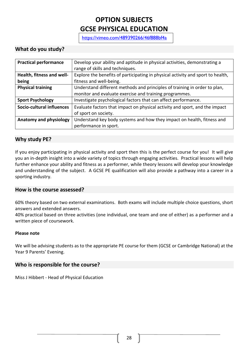# **OPTION SUBJECTS GCSE PHYSICAL EDUCATION**

<span id="page-29-0"></span><https://vimeo.com/489390266/46f888bf4a>

### **What do you study?**

| <b>Practical performance</b> | Develop your ability and aptitude in physical activities, demonstrating a<br>range of skills and techniques. |
|------------------------------|--------------------------------------------------------------------------------------------------------------|
| Health, fitness and well-    | Explore the benefits of participating in physical activity and sport to health,                              |
| being                        | fitness and well-being.                                                                                      |
| <b>Physical training</b>     | Understand different methods and principles of training in order to plan,                                    |
|                              | monitor and evaluate exercise and training programmes.                                                       |
| <b>Sport Psychology</b>      | Investigate psychological factors that can affect performance.                                               |
| Socio-cultural influences    | Evaluate factors that impact on physical activity and sport, and the impact                                  |
|                              | of sport on society.                                                                                         |
| Anatomy and physiology       | Understand key body systems and how they impact on health, fitness and                                       |
|                              | performance in sport.                                                                                        |

### **Why study PE?**

If you enjoy participating in physical activity and sport then this is the perfect course for you! It will give you an in-depth insight into a wide variety of topics through engaging activities. Practical lessons will help further enhance your ability and fitness as a performer, while theory lessons will develop your knowledge and understanding of the subject. A GCSE PE qualification will also provide a pathway into a career in a sporting industry.

### **How is the course assessed?**

60% theory based on two external examinations. Both exams will include multiple choice questions, short answers and extended answers.

40% practical based on three activities (one individual, one team and one of either) as a performer and a written piece of coursework.

### **Please note**

We will be advising students as to the appropriate PE course for them (GCSE or Cambridge National) at the Year 9 Parents' Evening.

### **Who is responsible for the course?**

Miss J Hibbert - Head of Physical Education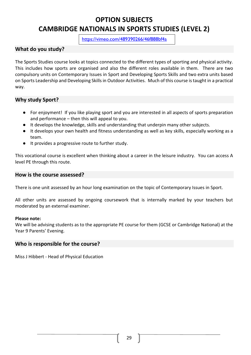# **OPTION SUBJECTS CAMBRIDGE NATIONALS IN SPORTS STUDIES (LEVEL 2)**

<span id="page-30-0"></span><https://vimeo.com/489390266/46f888bf4a>

### **What do you study?**

The Sports Studies course looks at topics connected to the different types of sporting and physical activity. This includes how sports are organised and also the different roles available in them. There are two compulsory units on Contemporary Issues in Sport and Developing Sports Skills and two extra units based on Sports Leadership and Developing Skills in Outdoor Activities. Much of this course is taught in a practical way.

### **Why study Sport?**

- For enjoyment! If you like playing sport and you are interested in all aspects of sports preparation and performance – then this will appeal to you.
- It develops the knowledge, skills and understanding that underpin many other subjects.
- It develops your own health and fitness understanding as well as key skills, especially working as a team.
- It provides a progressive route to further study.

This vocational course is excellent when thinking about a career in the leisure industry. You can access A level PE through this route.

### **How is the course assessed?**

There is one unit assessed by an hour long examination on the topic of Contemporary Issues in Sport.

All other units are assessed by ongoing coursework that is internally marked by your teachers but moderated by an external examiner.

### **Please note:**

We will be advising students as to the appropriate PE course for them (GCSE or Cambridge National) at the Year 9 Parents' Evening.

### **Who is responsible for the course?**

Miss J Hibbert - Head of Physical Education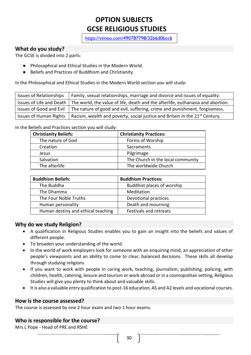# <span id="page-31-0"></span>**OPTION SUBJECTS GCSE RELIGIOUS STUDIES**

<https://vimeo.com/490787798/32b6d0bcc6>

### **What do you study?**

The GCSE is divided into 2 parts:

- Philosophical and Ethical Studies in the Modern World.
- Beliefs and Practices of Buddhism and Christianity.

In the Philosophical and Ethical Studies in the Modern World section you will study:

| <b>Issues of Relationships</b> | Family, sexual relationships, marriage and divorce and issues of equality.                                 |
|--------------------------------|------------------------------------------------------------------------------------------------------------|
|                                | Issues of Life and Death   The world, the value of life, death and the afterlife, euthanasia and abortion. |
|                                | Issues of Good and Evil $\mid$ The nature of good and evil, suffering, crime and punishment, forgiveness.  |
|                                | Issues of Human Rights   Racism, wealth and poverty, social justice and Britain in the $21^{st}$ Century.  |

In the Beliefs and Practices section you will study:

| <b>Christianity Beliefs:</b> | <b>Christianity Practices:</b>    |
|------------------------------|-----------------------------------|
| The nature of God            | Forms of Worship                  |
| Creation                     | Sacraments                        |
| Jesus                        | Pilgrimage                        |
| Salvation                    | The Church in the local community |
| The afterlife                | The worldwide Church              |

| <b>Buddhism Beliefs:</b>           | <b>Buddhism Practices:</b> |
|------------------------------------|----------------------------|
| The Buddha                         | Buddhist places of worship |
| The Dhamma                         | Meditation                 |
| The Four Noble Truths              | Devotional practices       |
| Human personality                  | Death and mourning         |
| Human destiny and ethical teaching | Festivals and retreats     |

### **Why do we study Religion?**

- A qualification in Religious Studies enables you to gain an insight into the beliefs and values of different people.
- To broaden your understanding of the world.
- In the world of work employers look for someone with an enquiring mind, an appreciation of other people's viewpoints and an ability to come to clear, balanced decisions. These skills all develop through studying religions.
- If you want to work with people in caring work, teaching, journalism, publishing, policing, with children, health, catering, leisure and tourism or work abroad or in a cosmopolitan setting, Religious Studies will give you plenty to think about and valuable skills.
- It is also a valuable entry qualification to post-16 education, AS and A2 levels and vocational courses.

### **How is the course assessed?**

The course is assessed by one 2 hour exam and two 1 hour exams.

### **Who is responsible for the course?**

Mrs L Pope - Head of PRE and RSHE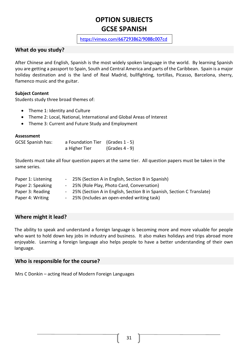# <span id="page-32-0"></span>**OPTION SUBJECTS GCSE SPANISH**

### <https://vimeo.com/667293862/9088c007cd>

### **What do you study?**

After Chinese and English, Spanish is the most widely spoken language in the world. By learning Spanish you are getting a passport to Spain, South and Central America and parts of the Caribbean. Spain is a major holiday destination and is the land of Real Madrid, bullfighting, tortillas, Picasso, Barcelona, sherry, flamenco music and the guitar.

### **Subject Content**

Students study three broad themes of:

- Theme 1: Identity and Culture
- Theme 2: Local, National, International and Global Areas of Interest
- Theme 3: Current and Future Study and Employment

### **Assessment**

| <b>GCSE Spanish has:</b> | a Foundation Tier (Grades 1 - 5) |                  |
|--------------------------|----------------------------------|------------------|
|                          | a Higher Tier                    | $(Grades 4 - 9)$ |

Students must take all four question papers at the same tier. All question papers must be taken in the same series.

| Paper 1: Listening | - 25% (Section A in English, Section B in Spanish)                      |
|--------------------|-------------------------------------------------------------------------|
| Paper 2: Speaking  | - 25% (Role Play, Photo Card, Conversation)                             |
| Paper 3: Reading   | - 25% (Section A in English, Section B in Spanish, Section C Translate) |
| Paper 4: Writing   | - 25% (Includes an open-ended writing task)                             |

### **Where might it lead?**

The ability to speak and understand a foreign language is becoming more and more valuable for people who want to hold down key jobs in industry and business. It also makes holidays and trips abroad more enjoyable. Learning a foreign language also helps people to have a better understanding of their own language.

### **Who is responsible for the course?**

Mrs C Donkin – acting Head of Modern Foreign Languages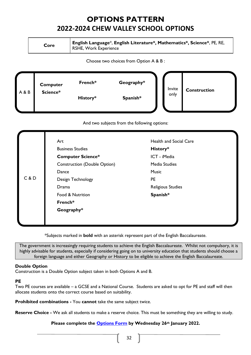# **OPTIONS PATTERN 2022-2024 CHEW VALLEY SCHOOL OPTIONS**

<span id="page-33-0"></span>

| Core | English Language*, English Literature*, Mathematics*, Science*, PE, RE,<br><b>RSHE, Work Experience</b> |
|------|---------------------------------------------------------------------------------------------------------|
|------|---------------------------------------------------------------------------------------------------------|

Choose two choices from Option A & B :



And two subjects from the following options:

|       | Art                                 | <b>Health and Social Care</b> |  |  |
|-------|-------------------------------------|-------------------------------|--|--|
| C & D | <b>Business Studies</b>             | History*<br>ICT - iMedia      |  |  |
|       | <b>Computer Science*</b>            |                               |  |  |
|       | <b>Construction (Double Option)</b> | Media Studies                 |  |  |
|       | Dance                               | <b>Music</b>                  |  |  |
|       | Design Technology                   | <b>PE</b>                     |  |  |
|       | Drama                               | <b>Religious Studies</b>      |  |  |
|       | Food & Nutrition                    | Spanish*                      |  |  |
|       | French*                             |                               |  |  |
|       | Geography*                          |                               |  |  |
|       |                                     |                               |  |  |
|       |                                     |                               |  |  |

\*Subjects marked in **bold** with an asterisk represent part of the English Baccalaureate.

The government is increasingly requiring students to achieve the English Baccalaureate. Whilst not compulsory, it is highly advisable for students, especially if considering going on to university education that students should choose a foreign language and either Geography or History to be eligible to achieve the English Baccalaureate.

### **Double Option**

Construction is a Double Option subject taken in both Options A and B.

### **PE**

Two PE courses are available – a GCSE and a National Course. Students are asked to opt for PE and staff will then allocate students onto the correct course based on suitability.

**Prohibited combinations -** You **cannot** take the same subject twice.

**Reserve Choice -** We ask all students to make a reserve choice. This must be something they are willing to study.

### **Please complete the [Options Form](https://forms.office.com/r/Pai0scc7vi) by Wednesday 26th January 2022.**